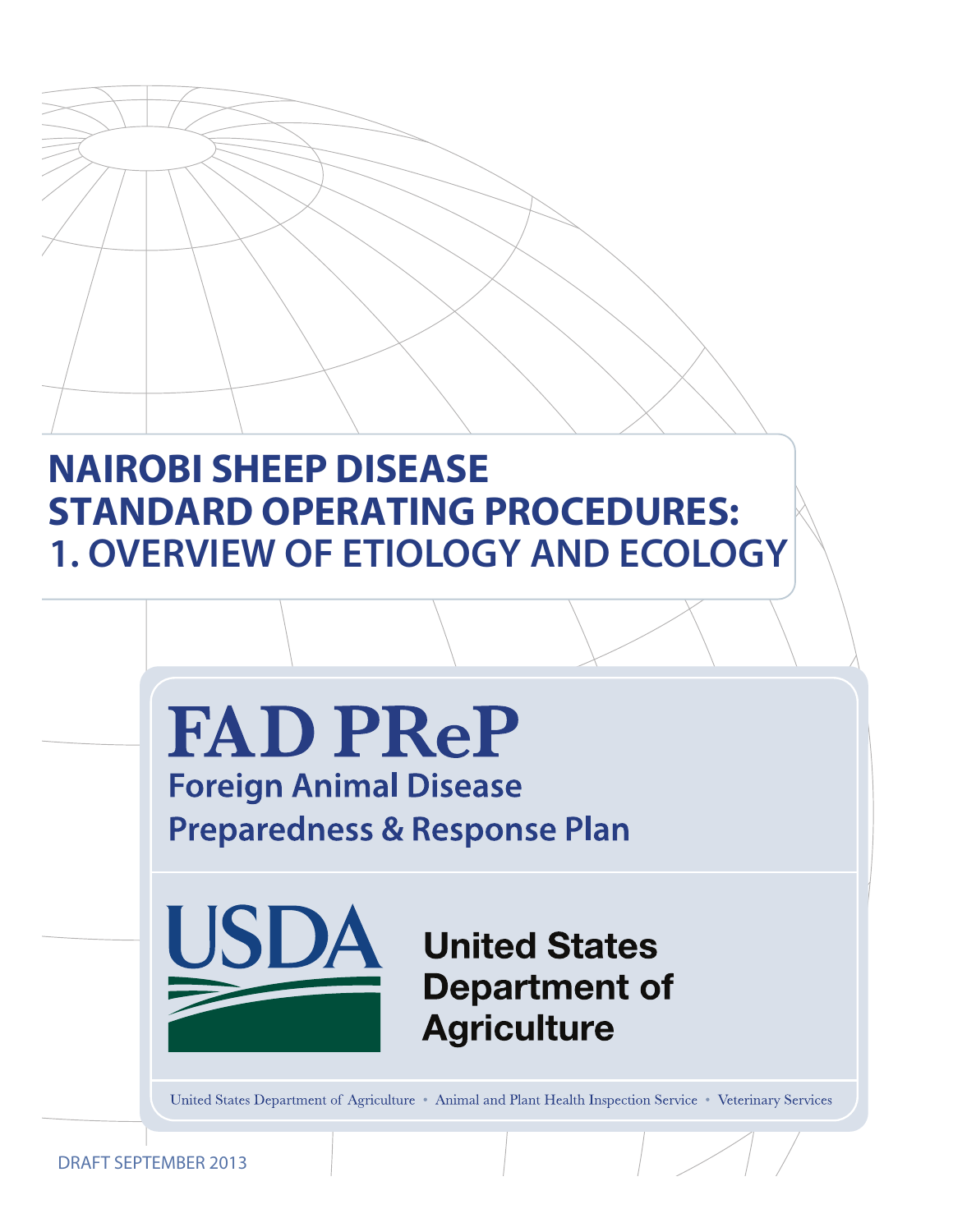# **NAIROBI SHEEP DISEASE STANDARD OPERATING PROCEDURES: 1. OVERVIEW OF ETIOLOGY AND ECOLOGY**



DRAFT SEPTEMBER 2013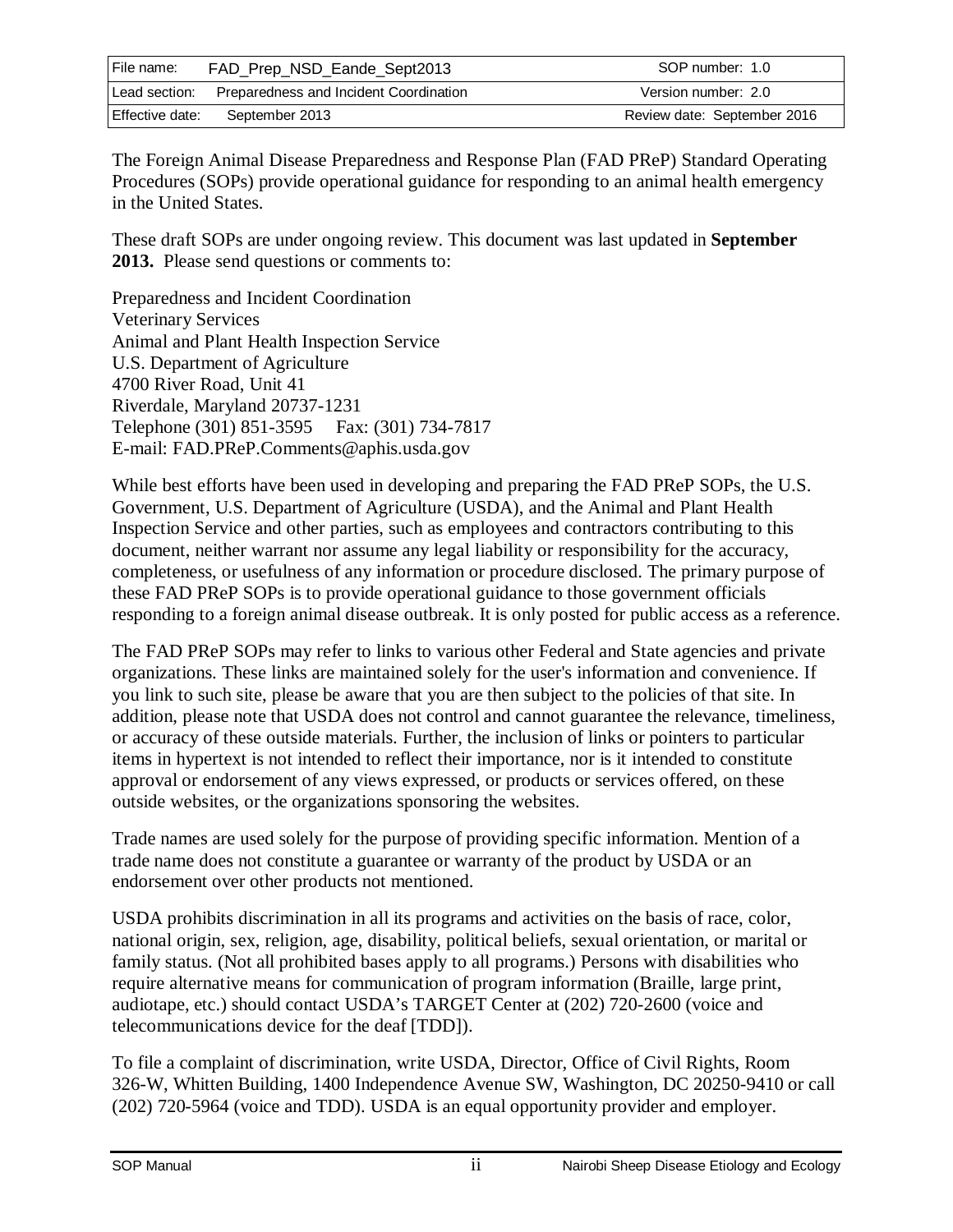| File name:      | FAD_Prep_NSD_Eande_Sept2013            | SOP number: 1.0             |
|-----------------|----------------------------------------|-----------------------------|
| Lead section:   | Preparedness and Incident Coordination | Version number: 2.0         |
| Effective date: | September 2013                         | Review date: September 2016 |

The Foreign Animal Disease Preparedness and Response Plan (FAD PReP) Standard Operating Procedures (SOPs) provide operational guidance for responding to an animal health emergency in the United States.

These draft SOPs are under ongoing review. This document was last updated in **September 2013.** Please send questions or comments to:

Preparedness and Incident Coordination Veterinary Services Animal and Plant Health Inspection Service U.S. Department of Agriculture 4700 River Road, Unit 41 Riverdale, Maryland 20737-1231 Telephone (301) 851-3595 Fax: (301) 734-7817 E-mail: FAD.PReP.Comments@aphis.usda.gov

While best efforts have been used in developing and preparing the FAD PReP SOPs, the U.S. Government, U.S. Department of Agriculture (USDA), and the Animal and Plant Health Inspection Service and other parties, such as employees and contractors contributing to this document, neither warrant nor assume any legal liability or responsibility for the accuracy, completeness, or usefulness of any information or procedure disclosed. The primary purpose of these FAD PReP SOPs is to provide operational guidance to those government officials responding to a foreign animal disease outbreak. It is only posted for public access as a reference.

The FAD PReP SOPs may refer to links to various other Federal and State agencies and private organizations. These links are maintained solely for the user's information and convenience. If you link to such site, please be aware that you are then subject to the policies of that site. In addition, please note that USDA does not control and cannot guarantee the relevance, timeliness, or accuracy of these outside materials. Further, the inclusion of links or pointers to particular items in hypertext is not intended to reflect their importance, nor is it intended to constitute approval or endorsement of any views expressed, or products or services offered, on these outside websites, or the organizations sponsoring the websites.

Trade names are used solely for the purpose of providing specific information. Mention of a trade name does not constitute a guarantee or warranty of the product by USDA or an endorsement over other products not mentioned.

USDA prohibits discrimination in all its programs and activities on the basis of race, color, national origin, sex, religion, age, disability, political beliefs, sexual orientation, or marital or family status. (Not all prohibited bases apply to all programs.) Persons with disabilities who require alternative means for communication of program information (Braille, large print, audiotape, etc.) should contact USDA's TARGET Center at (202) 720-2600 (voice and telecommunications device for the deaf [TDD]).

To file a complaint of discrimination, write USDA, Director, Office of Civil Rights, Room 326-W, Whitten Building, 1400 Independence Avenue SW, Washington, DC 20250-9410 or call (202) 720-5964 (voice and TDD). USDA is an equal opportunity provider and employer.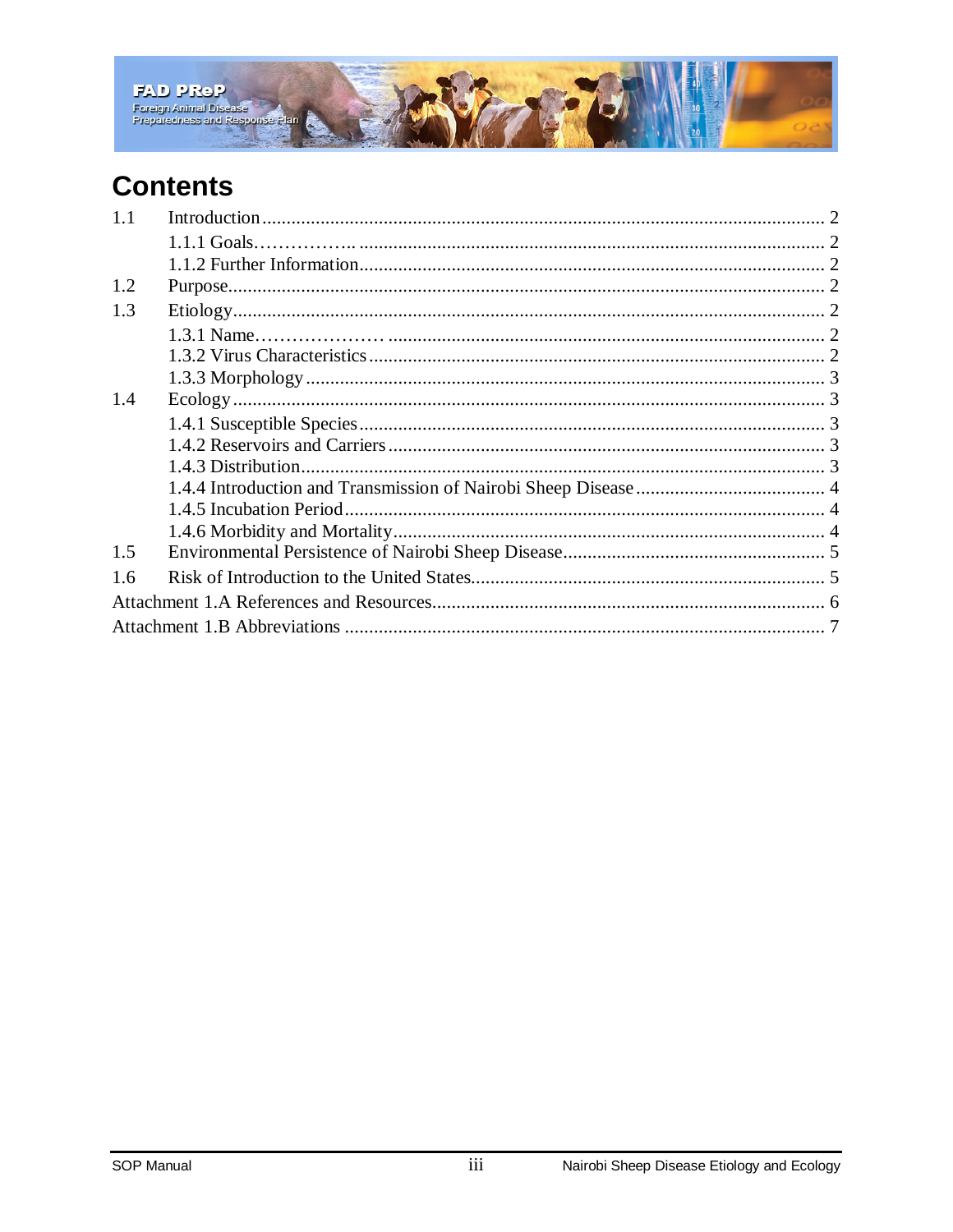

## **Contents**

| 1.1 |  |  |  |
|-----|--|--|--|
|     |  |  |  |
|     |  |  |  |
| 1.2 |  |  |  |
| 1.3 |  |  |  |
|     |  |  |  |
|     |  |  |  |
|     |  |  |  |
| 1.4 |  |  |  |
|     |  |  |  |
|     |  |  |  |
|     |  |  |  |
|     |  |  |  |
|     |  |  |  |
|     |  |  |  |
| 1.5 |  |  |  |
| 1.6 |  |  |  |
|     |  |  |  |
|     |  |  |  |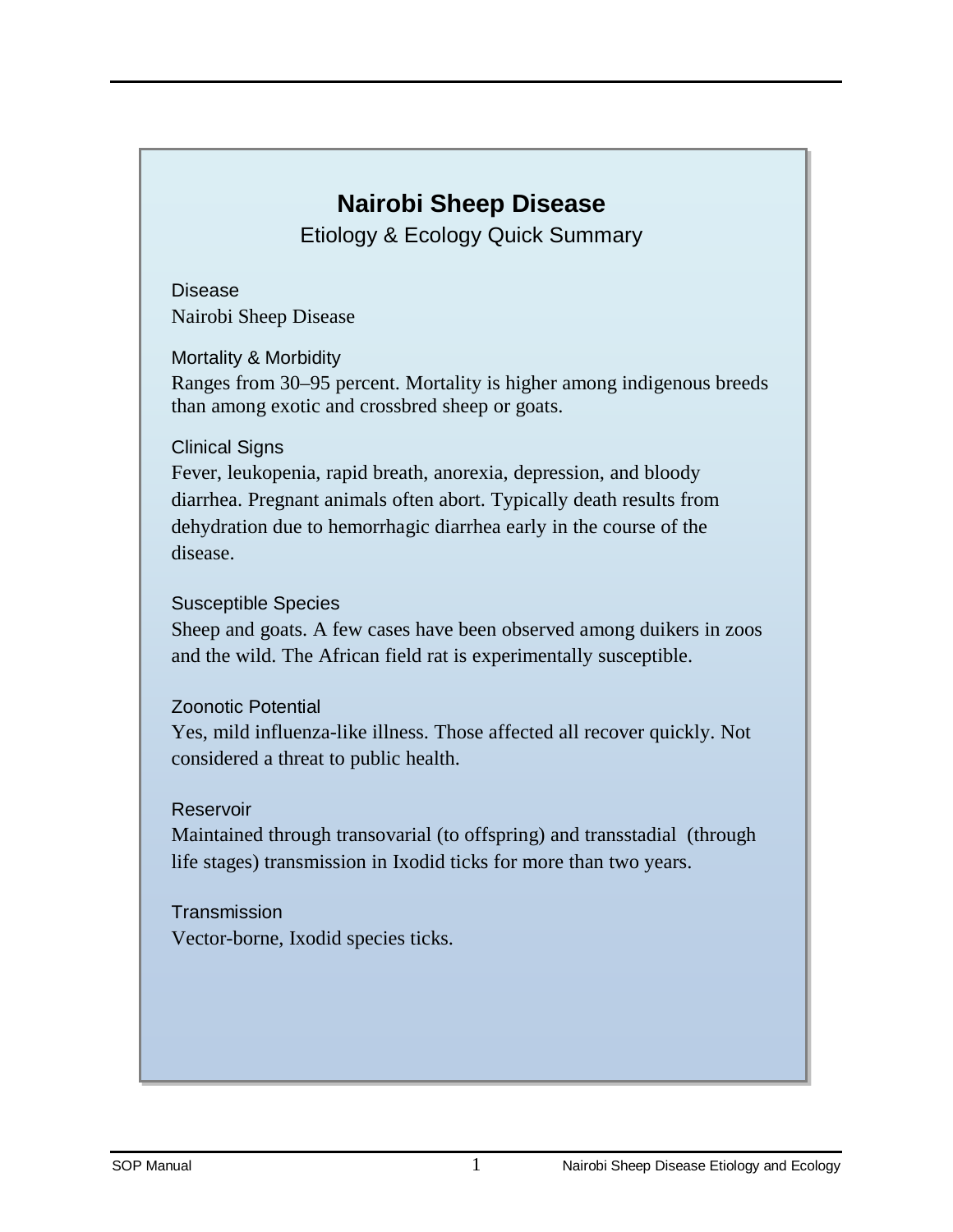## **Nairobi Sheep Disease**

Etiology & Ecology Quick Summary

Disease Nairobi Sheep Disease

Mortality & Morbidity

Ranges from 30–95 percent. Mortality is higher among indigenous breeds than among exotic and crossbred sheep or goats.

#### Clinical Signs

Fever, leukopenia, rapid breath, anorexia, depression, and bloody diarrhea. Pregnant animals often abort. Typically death results from dehydration due to hemorrhagic diarrhea early in the course of the disease.

#### Susceptible Species

Sheep and goats. A few cases have been observed among duikers in zoos and the wild. The African field rat is experimentally susceptible.

#### Zoonotic Potential

Yes, mild influenza-like illness. Those affected all recover quickly. Not considered a threat to public health.

#### Reservoir

Maintained through transovarial (to offspring) and transstadial (through life stages) transmission in Ixodid ticks for more than two years.

**Transmission** Vector-borne, Ixodid species ticks.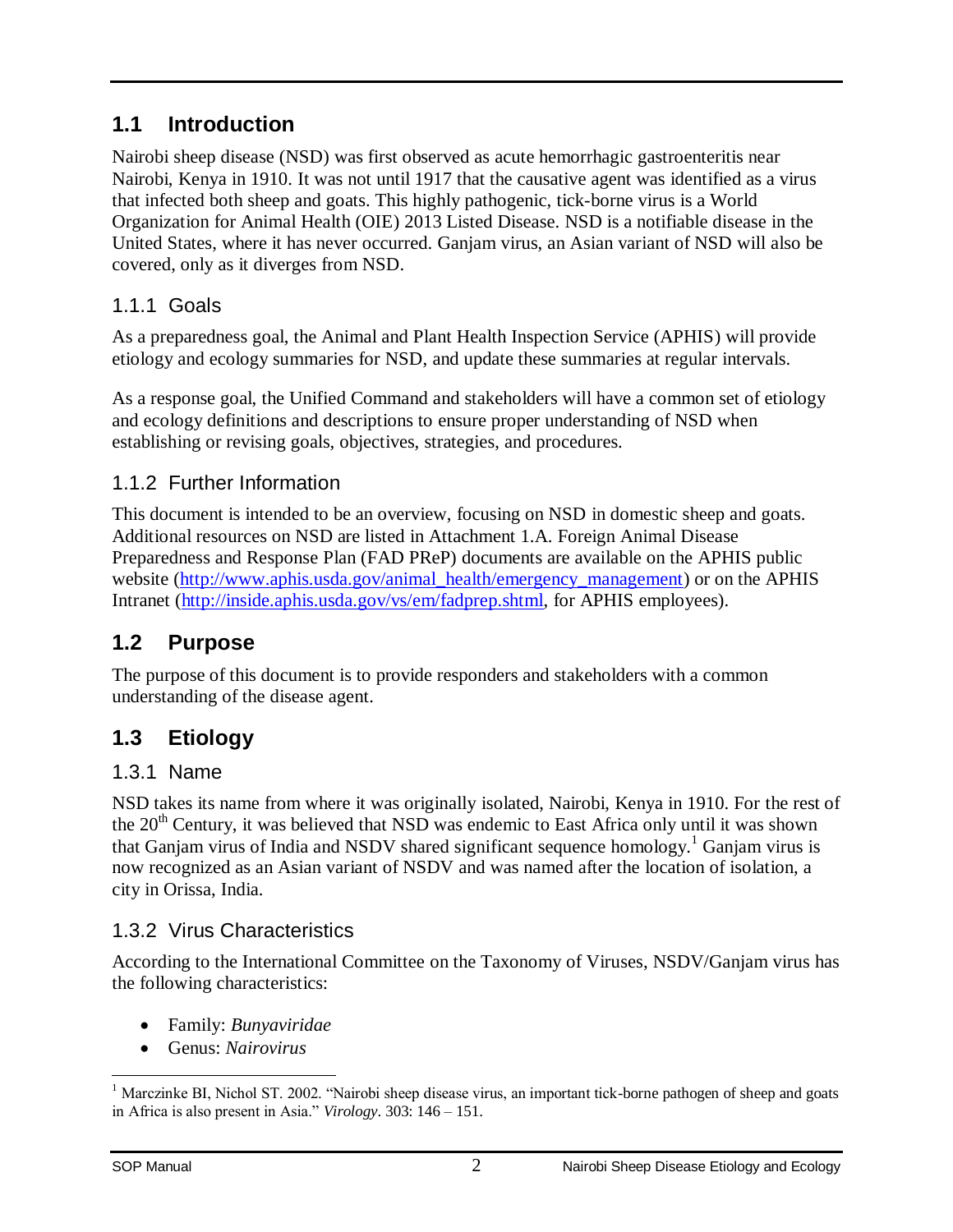#### <span id="page-4-0"></span>**1.1 Introduction**

Nairobi sheep disease (NSD) was first observed as acute hemorrhagic gastroenteritis near Nairobi, Kenya in 1910. It was not until 1917 that the causative agent was identified as a virus that infected both sheep and goats. This highly pathogenic, tick-borne virus is a World Organization for Animal Health (OIE) 2013 Listed Disease. NSD is a notifiable disease in the United States, where it has never occurred. Ganjam virus, an Asian variant of NSD will also be covered, only as it diverges from NSD.

#### <span id="page-4-1"></span>1.1.1 Goals

As a preparedness goal, the Animal and Plant Health Inspection Service (APHIS) will provide etiology and ecology summaries for NSD, and update these summaries at regular intervals.

As a response goal, the Unified Command and stakeholders will have a common set of etiology and ecology definitions and descriptions to ensure proper understanding of NSD when establishing or revising goals, objectives, strategies, and procedures.

#### <span id="page-4-2"></span>1.1.2 Further Information

This document is intended to be an overview, focusing on NSD in domestic sheep and goats. Additional resources on NSD are listed in Attachment 1.A. Foreign Animal Disease Preparedness and Resp[onse Plan \(FAD PReP\) documents are available on the APHIS public](http://www.aphis.usda.gov/animal_health/emergency_management/) website (http://www.a[phis.usda.gov/animal\\_health/emergency\\_managem](http://inside.aphis.usda.gov/vs/em/fadprep.shtml)ent) or on the APHIS Intranet (http://inside.aphis.usda.gov/vs/em/fadprep.shtml, for APHIS employees).

#### <span id="page-4-3"></span>**1.2 Purpose**

The purpose of this document is to provide responders and stakeholders with a common understanding of the disease agent.

### <span id="page-4-5"></span><span id="page-4-4"></span>**1.3 Etiology**

#### 1.3.1 Name

NSD takes its name from where it was originally isolated, Nairobi, Kenya in 1910. For the rest of the 20<sup>th</sup> Ce[n](#page-4-7)tury, it was believed that NSD was endemic to East Africa only until it was shown that Ganjam virus of India and NSDV shared significant sequence homology.<sup>1</sup> Ganjam virus is now recognized as an Asian variant of NSDV and was named after the location of isolation, a city in Orissa, India.

#### <span id="page-4-6"></span>1.3.2 Virus Characteristics

According to the International Committee on the Taxonomy of Viruses, NSDV/Ganjam virus has the following characteristics:

- Family: *Bunyaviridae*
- Genus: *Nairovirus*

<span id="page-4-7"></span> $\overline{a}$ <sup>1</sup> Marczinke BI, Nichol ST. 2002. "Nairobi sheep disease virus, an important tick-borne pathogen of sheep and goats in Africa is also present in Asia." *Virology*. 303: 146 – 151.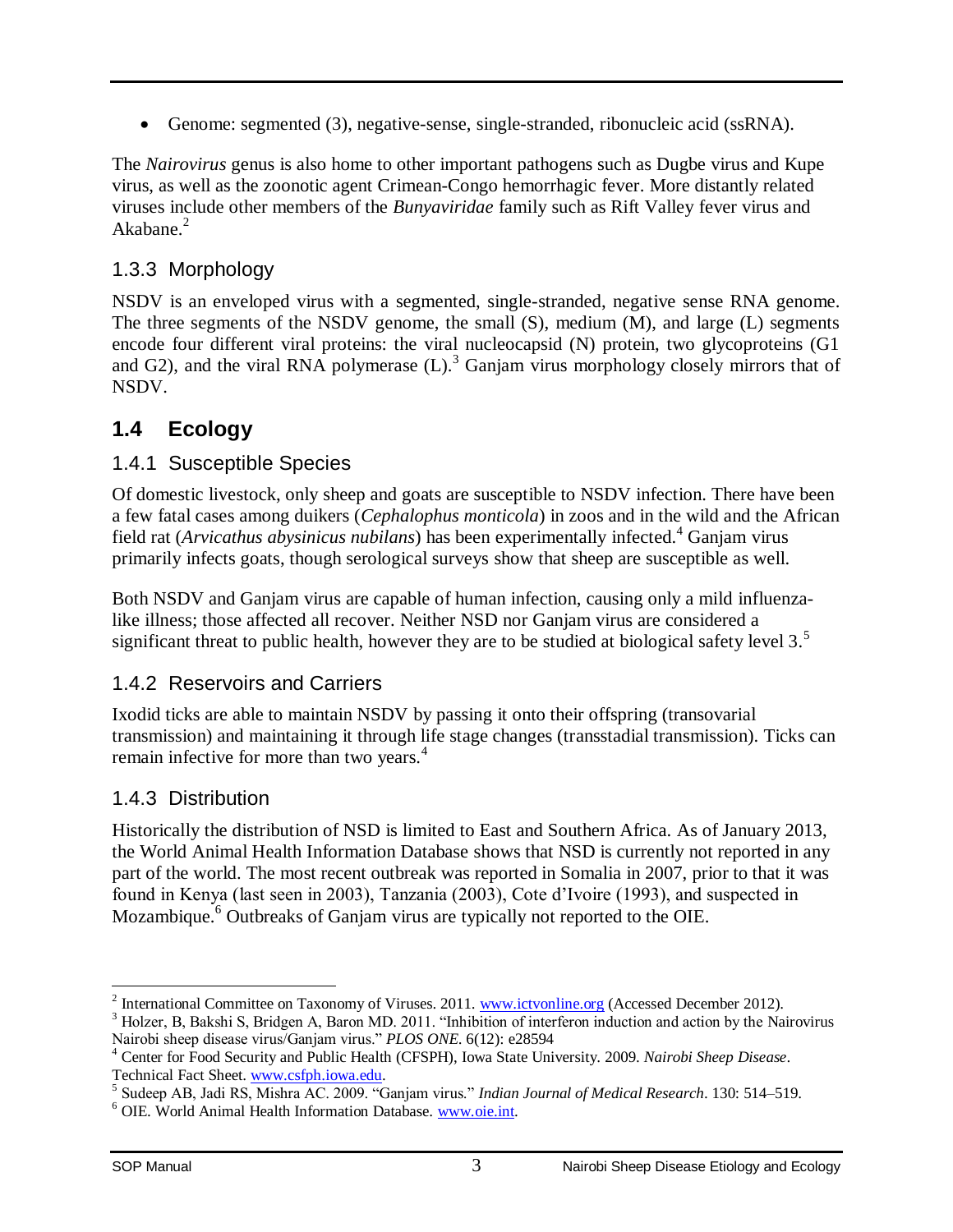Genome: segmented (3), negative-sense, single-stranded, ribonucleic acid (ssRNA).

The *Nairovirus* genus is also home to other important pathogens such as Dugbe virus and Kupe virus, as [w](#page-5-5)ell as the zoonotic agent Crimean-Congo hemorrhagic fever. More distantly related viruses include other members of the *Bunyaviridae* family such as Rift Valley fever virus and Akabane.<sup>2</sup>

#### <span id="page-5-0"></span>1.3.3 Morphology

NSDV is an enveloped virus with a segmented, single-stranded, negative sense RNA genome. The three segments of the NSDV genome, t[h](#page-5-6)e small (S), medium (M), and large (L) segments encode four different viral proteins: the viral nucleocapsid (N) protein, two glycoproteins (G1 and G2), and the viral RNA polymerase  $(L)$ .<sup>3</sup> Ganjam virus morphology closely mirrors that of NSDV.

#### <span id="page-5-2"></span><span id="page-5-1"></span>**1.4 Ecology**

#### 1.4.1 Susceptible Species

Of domestic livestock, only sheep and goats are susceptible to NSDV infec[ti](#page-5-7)on. There have been a few fatal cases among duikers (*Cephalophus monticola*) in zoos and in the wild and the African field rat (*Arvicathus abysinicus nubilans*) has been experimentally infected.<sup>4</sup> Ganjam virus primarily infects goats, though serological surveys show that sheep are susceptible as well.

Both NSDV and Ganjam virus are capable of human infection, causing only a mild influenz[a](#page-5-8)like illness; those affected all recover. Neither NSD nor Ganjam virus are considered a significant threat to public health, however they are to be studied at biological safety level  $3<sup>5</sup>$ 

#### <span id="page-5-3"></span>1.4.2 Reservoirs and Carriers

Ixodid ticks are able to maintain NSDV by passing it onto their offspring (transovarial transmission) and maintaining it through life stage changes (transstadial transmission). Ticks can remain infective for more than two years.<sup>4</sup>

#### <span id="page-5-4"></span>1.4.3 Distribution

Historically the distribution of NSD is limited to East and Southern Africa. As of January 2013, the World Animal Health Information Database shows that NSD is currently not reported in any part of the wo[r](#page-5-9)ld. The most recent outbreak was reported in Somalia in 2007, prior to that it was found in Kenya (last seen in 2003), Tanzania (2003), Cote d'Ivoire (1993), and suspected in Mozambique.<sup>6</sup> Outbreaks of Ganjam virus are typically not reported to the OIE.

 $\overline{a}$ <sup>2</sup> International Committee on Taxonomy of Viruses. 2011. [www.ictvonline.org](http://www.ictvonline.org/) (Accessed December 2012).

<span id="page-5-6"></span><span id="page-5-5"></span><sup>&</sup>lt;sup>3</sup> Holzer, B, Bakshi S, Bridgen A, Baron MD, 2011. "Inhibition of interferon induction and action by the Nairovirus Nairobi sheep disease virus/Ganjam virus." *PLOS ONE*. 6(12): e28594

<span id="page-5-7"></span><sup>4</sup> Center for Food Security and Public Health (CFSPH), Iowa State University. 2009. *Nairobi Sheep Disease*. Technical Fact Sheet. [www.csfph.iowa.edu.](http://www.csfph.iowa.edu/)

<span id="page-5-8"></span><sup>5</sup> Sudeep AB, Jadi RS, Mishra AC. 2009. "Ganjam virus." *Indian Journal of Medical Research*. 130: 514–519.

<span id="page-5-9"></span><sup>&</sup>lt;sup>6</sup> OIE. World Animal Health Information Database. [www.oie.int.](http://www.oie.int/)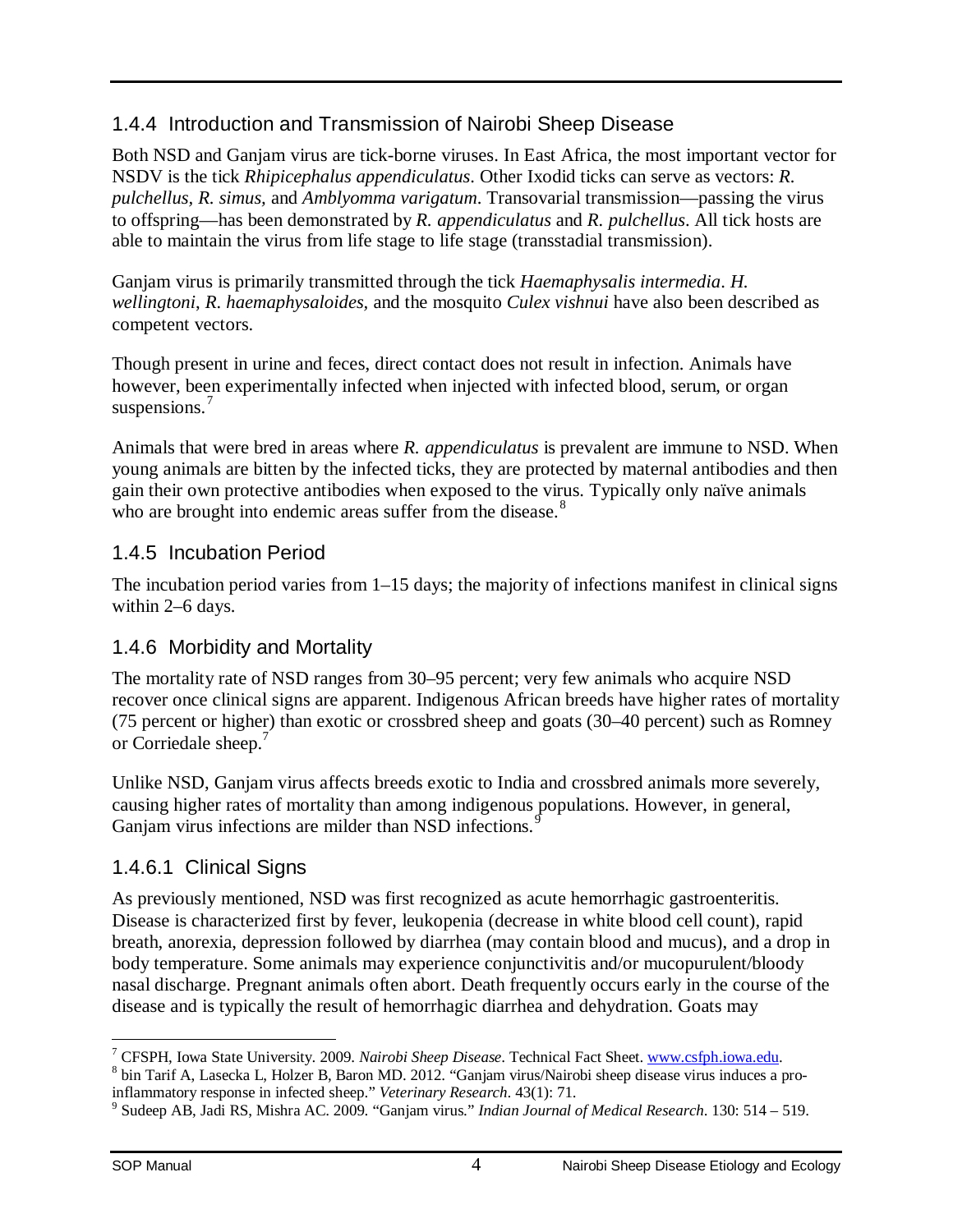#### <span id="page-6-0"></span>1.4.4 Introduction and Transmission of Nairobi Sheep Disease

Both NSD and Ganjam virus are tick-borne viruses. In East Africa, the most important vector for NSDV is the tick *Rhipicephalus appendiculatus*. Other Ixodid ticks can serve as vectors: *R. pulchellus, R. simus,* and *Amblyomma varigatum*. Transovarial transmission—passing the virus to offspring—has been demonstrated by *R. appendiculatus* and *R. pulchellus*. All tick hosts are able to maintain the virus from life stage to life stage (transstadial transmission).

Ganjam virus is primarily transmitted through the tick *Haemaphysalis intermedia*. *H. wellingtoni*, *R. haemaphysaloides,* and the mosquito *Culex vishnui* have also been described as competent vectors.

Though present in urine and feces, direct contact does not result in infection. Animals have however, been experimentally infected when injected with infected blood, serum, or organ suspensions.<sup>[7](#page-6-3)</sup>

Animals that were bred in areas where *R. appendiculatus* is prevalent are immune to NSD. When young animals are bitten by the infected ticks, they are protected by maternal antibodies and then gain their own protective antibodies when exposed to the virus. Typically only naïve animals who are brought into endemic areas suffer from the disease.<sup>[8](#page-6-4)</sup>

#### <span id="page-6-1"></span>1.4.5 Incubation Period

The incubation period varies from 1–15 days; the majority of infections manifest in clinical signs within 2–6 days.

#### <span id="page-6-2"></span>1.4.6 Morbidity and Mortality

The mortality rate of NSD ranges from 30–95 percent; very few animals who acquire NSD recover once clinical signs are apparent. Indigenous African breeds have higher rates of mortality (75 percent or higher) than exotic or crossbred sheep and goats (30–40 percent) such as Romney or Corriedale sheep. 7

Unlike NSD, Ganjam virus affects breeds exotic to India and crossbred animals more severely, causing higher rates of mortality than among indigenous populations. However, in general, Ganjam virus infections are milder than NSD infections.<sup>[9](#page-6-5)</sup>

#### 1.4.6.1 Clinical Signs

As previously mentioned, NSD was first recognized as acute hemorrhagic gastroenteritis. Disease is characterized first by fever, leukopenia (decrease in white blood cell count), rapid breath, anorexia, depression followed by diarrhea (may contain blood and mucus), and a drop in body temperature. Some animals may experience conjunctivitis and/or mucopurulent/bloody nasal discharge. Pregnant animals often abort. Death frequently occurs early in the course of the disease and is typically the result of hemorrhagic diarrhea and dehydration. Goats may

<span id="page-6-3"></span><sup>&</sup>lt;sup>7</sup> CFSPH, Iowa State University. 2009. Nairobi Sheep Disease. Technical Fact Sheet. www.csfph.jowa.edu.

<span id="page-6-4"></span><sup>&</sup>lt;sup>8</sup> bin Tarif A, Lasecka L, Holzer B, Baron MD. 2012. "Ganjam virus/Nairobi sheep disease virus induces a proinflammatory response in infected sheep." *Veterinary Research*. 43(1): 71. 9 Sudeep AB, Jadi RS, Mishra AC. 2009. "Ganjam virus." *Indian Journal of Medical Research*. 130: 514 – 519.

<span id="page-6-5"></span>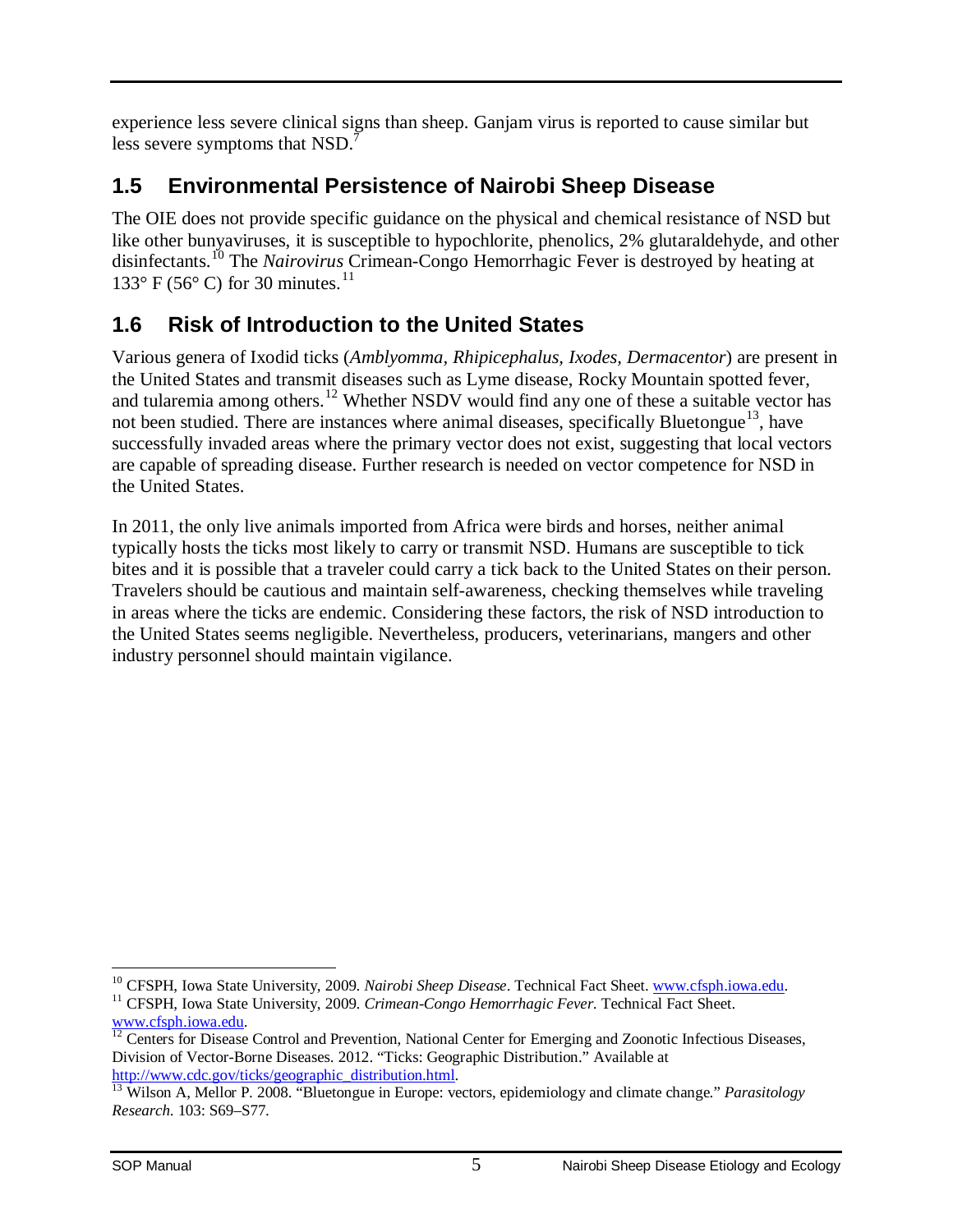experience less severe clinical signs than sheep. Ganjam virus is reported to cause similar but less severe symptoms that NSD.<sup>7</sup>

### <span id="page-7-0"></span>**1.5 Environmental Persistence of Nairobi Sheep Disease**

The OIE does not provide specific guidance on the physical and chemical resistance of NSD but like other bunyaviruses, it is susceptible to hypochlorite, phenolics, 2% glutaraldehyde, and other disinfectants.[10](#page-7-2) The *Nairovirus* Crimean-Congo Hemorrhagic Fever is destroyed by heating at 133° F (56° C) for 30 minutes.<sup>[11](#page-7-3)</sup>

### <span id="page-7-1"></span>**1.6 Risk of Introduction to the United States**

Various genera of Ixodid ticks (*Amblyomma, Rhipicephalus, Ixodes, Dermacentor*) are present in the United States and transmit diseases such as Lyme disease, Rocky Mountain spotted fever, and tularemia among others.<sup>[12](#page-7-4)</sup> Whether NSDV would find any one of these a suitable vector has not been studied. There are instances where animal diseases, specifically Bluetongue<sup>13</sup>, have successfully invaded areas where the primary vector does not exist, suggesting that local vectors are capable of spreading disease. Further research is needed on vector competence for NSD in the United States.

In 2011, the only live animals imported from Africa were birds and horses, neither animal typically hosts the ticks most likely to carry or transmit NSD. Humans are susceptible to tick bites and it is possible that a traveler could carry a tick back to the United States on their person. Travelers should be cautious and maintain self-awareness, checking themselves while traveling in areas where the ticks are endemic. Considering these factors, the risk of NSD introduction to the United States seems negligible. Nevertheless, producers, veterinarians, mangers and other industry personnel should maintain vigilance.

<span id="page-7-2"></span><sup>&</sup>lt;sup>10</sup> CFSPH. Iowa State University, 2009. Nairobi Sheep Disease. Technical Fact Sheet. www.cfsph.iowa.edu.

<span id="page-7-3"></span><sup>&</sup>lt;sup>11</sup> CFSPH, Iowa State University, 2009. *Crimean-Congo Hemorrhagic Fever*. Technical Fact Sheet. [www.cfsph.iowa.edu.](http://www.cfsph.iowa.edu/)

<span id="page-7-4"></span> $\frac{12}{12}$  $\frac{12}{12}$  $\frac{12}{12}$  Centers for Disease Control and Prevention, National Center for Emerging and Zoonotic Infectious Diseases, Division of Vector-Borne Diseases. 2012. "Ticks: Geographic Distribution." Available at [http://www.cdc.gov/ticks/geographic\\_distribution.html.](http://www.cdc.gov/ticks/geographic_distribution.html) [13](http://www.cdc.gov/ticks/geographic_distribution.html) Wilson A, Mellor P. 2008. "Bluetongue in Europe: vectors, epidemiology and climate change." *Parasitology* 

<span id="page-7-5"></span>*Research*. 103: S69–S77.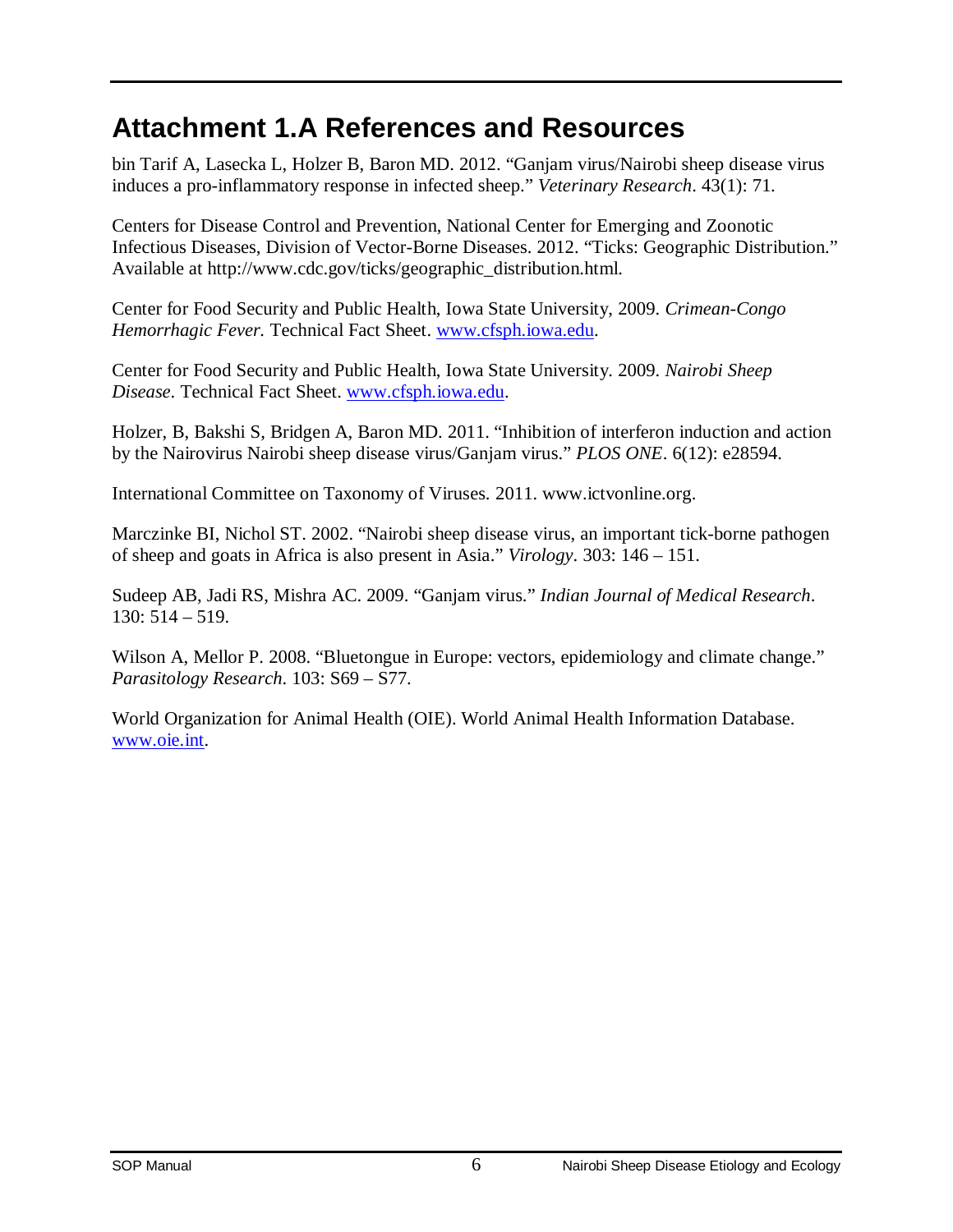## <span id="page-8-0"></span>**Attachment 1.A References and Resources**

bin Tarif A, Lasecka L, Holzer B, Baron MD. 2012. "Ganjam virus/Nairobi sheep disease virus induces a pro-inflammatory response in infected sheep." *Veterinary Research*. 43(1): 71.

Centers for Disease Control and Prevention, National Center for Emerging and Zoonotic Infectious Diseases, Division of Vector-Borne Diseases. 2012. "Ticks: Geographic Distribution." Available at http://www.cdc.gov/ticks/geographic\_distribution.html.

Center for Food Security and Public Health, Iowa State University, 2009. *Crimean-Congo Hemorrhagic Fever.* Technical Fact Sheet. [www.cfsph.iowa.edu.](http://www.cfsph.iowa.edu/)

Center for Food Security and Public Health, Iowa State University. 2009. *Nairobi Sheep Disease*. Technical Fact Sheet. [www.cfsph.iowa.edu.](http://www.cfsph.iowa.edu/)

Holzer, B, Bakshi S, Bridgen A, Baron MD. 2011. "Inhibition of interferon induction and action by the Nairovirus Nairobi sheep disease virus/Ganjam virus." *PLOS ONE*. 6(12): e28594.

International Committee on Taxonomy of Viruses. 2011. www.ictvonline.org.

Marczinke BI, Nichol ST. 2002. "Nairobi sheep disease virus, an important tick-borne pathogen of sheep and goats in Africa is also present in Asia." *Virology*. 303: 146 – 151.

Sudeep AB, Jadi RS, Mishra AC. 2009. "Ganjam virus." *Indian Journal of Medical Research*. 130: 514 – 519.

Wilson A, Mellor P. 2008. "Bluetongue in Europe: vectors, epidemiology and climate change." *Parasitology Research*. 103: S69 – S77.

World Organization for Animal Health (OIE). World Animal Health Information Database. [www.oie.int.](http://www.oie.int/)